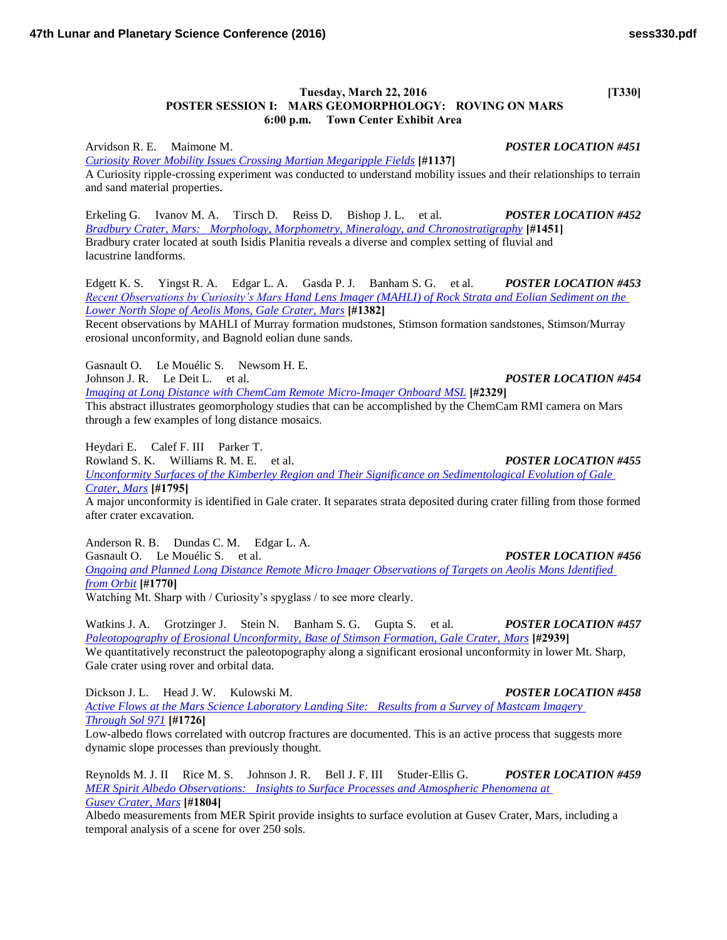## **Tuesday, March 22, 2016** [T330] **POSTER SESSION I: MARS GEOMORPHOLOGY: ROVING ON MARS 6:00 p.m. Town Center Exhibit Area**

Arvidson R. E. Maimone M. *POSTER LOCATION #451 [Curiosity Rover Mobility Issues Crossing Martian Megaripple Fields](http://www.hou.usra.edu/meetings/lpsc2016/pdf/1137.pdf)* **[#1137]** A Curiosity ripple-crossing experiment was conducted to understand mobility issues and their relationships to terrain and sand material properties.

Erkeling G. Ivanov M. A. Tirsch D. Reiss D. Bishop J. L. et al. *POSTER LOCATION #452 [Bradbury Crater, Mars: Morphology, Morphometry, Mineralogy, and Chronostratigraphy](http://www.hou.usra.edu/meetings/lpsc2016/pdf/1451.pdf)* **[#1451]** Bradbury crater located at south Isidis Planitia reveals a diverse and complex setting of fluvial and lacustrine landforms.

Edgett K. S. Yingst R. A. Edgar L. A. Gasda P. J. Banham S. G. et al. *POSTER LOCATION #453 [Recent Observations by Curiosity's Mars Hand Lens Imager \(MAHLI\) of Rock Strata and Eolian Sediment on the](http://www.hou.usra.edu/meetings/lpsc2016/pdf/1382.pdf)  [Lower North Slope of Aeolis Mons, Gale Crater, Mars](http://www.hou.usra.edu/meetings/lpsc2016/pdf/1382.pdf)* **[#1382]**

Recent observations by MAHLI of Murray formation mudstones, Stimson formation sandstones, Stimson/Murray erosional unconformity, and Bagnold eolian dune sands.

Gasnault O. Le Mouélic S. Newsom H. E. Johnson J. R. Le Deit L. et al. *POSTER LOCATION #454 [Imaging at Long Distance with ChemCam Remote Micro-Imager Onboard MSL](http://www.hou.usra.edu/meetings/lpsc2016/pdf/2329.pdf)* **[#2329]** This abstract illustrates geomorphology studies that can be accomplished by the ChemCam RMI camera on Mars through a few examples of long distance mosaics.

Heydari E. Calef F. III Parker T.

Rowland S. K. Williams R. M. E. et al. *POSTER LOCATION #455 [Unconformity Surfaces of the Kimberley Region and Their Significance on Sedimentological Evolution of Gale](http://www.hou.usra.edu/meetings/lpsc2016/pdf/1795.pdf)  [Crater, Mars](http://www.hou.usra.edu/meetings/lpsc2016/pdf/1795.pdf)* **[#1795]**

A major unconformity is identified in Gale crater. It separates strata deposited during crater filling from those formed after crater excavation.

Anderson R. B. Dundas C. M. Edgar L. A. Gasnault O. Le Mouélic S. et al. *POSTER LOCATION #456 [Ongoing and Planned Long Distance Remote Micro Imager Observations of Targets on Aeolis Mons Identified](http://www.hou.usra.edu/meetings/lpsc2016/pdf/1770.pdf)  [from Orbit](http://www.hou.usra.edu/meetings/lpsc2016/pdf/1770.pdf)* **[#1770]** Watching Mt. Sharp with / Curiosity's spyglass / to see more clearly.

Watkins J. A. Grotzinger J. Stein N. Banham S. G. Gupta S. et al. *POSTER LOCATION #457 [Paleotopography of Erosional Unconformity, Base of Stimson Formation, Gale Crater, Mars](http://www.hou.usra.edu/meetings/lpsc2016/pdf/2939.pdf)* **[#2939]** We quantitatively reconstruct the paleotopography along a significant erosional unconformity in lower Mt. Sharp, Gale crater using rover and orbital data.

Dickson J. L. Head J. W. Kulowski M. *POSTER LOCATION #458 [Active Flows at the Mars Science Laboratory Landing Site: Results from a Survey of Mastcam Imagery](http://www.hou.usra.edu/meetings/lpsc2016/pdf/1726.pdf)  [Through Sol 971](http://www.hou.usra.edu/meetings/lpsc2016/pdf/1726.pdf)* **[#1726]**

Low-albedo flows correlated with outcrop fractures are documented. This is an active process that suggests more dynamic slope processes than previously thought.

Reynolds M. J. II Rice M. S. Johnson J. R. Bell J. F. III Studer-Ellis G. *POSTER LOCATION #459 [MER Spirit Albedo Observations: Insights to Surface Processes and Atmospheric Phenomena at](http://www.hou.usra.edu/meetings/lpsc2016/pdf/1804.pdf)  [Gusev Crater, Mars](http://www.hou.usra.edu/meetings/lpsc2016/pdf/1804.pdf)* **[#1804]**

Albedo measurements from MER Spirit provide insights to surface evolution at Gusev Crater, Mars, including a temporal analysis of a scene for over 250 sols.